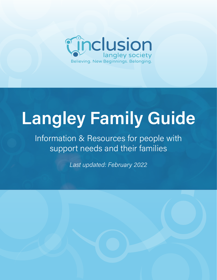

# Langley Family Guide

Information & Resources for people with support needs and their families

Last updated: February 2022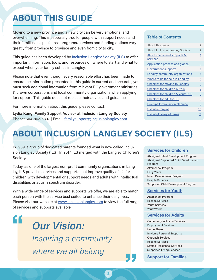## ABOUT THIS GUIDE

Moving to a new province and a new city can be very emotional and overwhelming. This is especially true for people with support needs and their families as specialized programs, services and funding options vary greatly from province to province and even from city to city.

This guide has been developed by [Inclusion Langley Society \(ILS\)](https://inclusionlangley.com/) to offer important information, tools, and resources on where to start and what to expect when your family settles in Langley.

Please note that even though every reasonable effort has been made to ensure the information presented in this guide is current and accurate, you must seek additional information from relevant BC government ministries & crown corporations and local community organizations when applying for support. This guide does not replace their advice and guidance.

For more information about this guide, please contact:

Lydia Kang, Family Support Advisor at Inclusion Langley Society Phone: 604-862-6807 | Email: [familysupport@inclusionlangley.com](mailto:familysupport%40inclusionlangley.com?subject=)

## Table of Contents

| About this quide                         | $\mathfrak{p}$ |
|------------------------------------------|----------------|
| <b>About Inclusion Langley Society</b>   | $\overline{2}$ |
| About specialized supports &<br>services | 3              |
| <b>Application process at a glance</b>   | $\overline{3}$ |
| <b>Government supports</b>               | 4              |
| Langley community organizations          | 4              |
| Where to go for help in Langley          | 5              |
| <b>Checklist for moving to Langley</b>   | 6              |
| Checklist for children birth-6           | 7              |
| Checklist for children & youth 7-18      | 8              |
| Checklist for adults 19+                 | 9              |
| Five tips for transition planning        | 9              |
| Useful acronyms                          | 10             |
| Useful glossary of terms                 | 11             |

## ABOUT INCLUSION LANGLEY SOCIETY (ILS)

In 1959, a group of dedicated parents founded what is now called Inclusion Langley Society (ILS). In 2017, ILS merged with the Langley Children's Society.

Today, as one of the largest non-profit community organizations in Langley, ILS provides services and supports that improve quality of life for children with developmental or support needs and adults with intellectual disabilities or autism spectrum disorder.

With a wide range of services and supports we offer, we are able to match each person with the service best suited to enhance their daily lives. Please visit our website at [www.inclusionlangley.com](https://inclusionlangley.com/) to view the full range of services and supports available.

**"**

Our Vision: Inspiring a community where we all belong

## [Services for Children](https://inclusionlangley.com/services-for-children/)

Aboriginal Infant Development Program Aboriginal Supported Child Development Program Afterschool Program Early Years Infant Development Program Respite Services Supported Child Development Program

## [Services for Youth](https://inclusionlangley.com/services-for-youth/)

Afterschool Program Respite Services Youth Services YouthWorks

## [Services for Adults](https://inclusionlangley.com/services-for-adults/)

Community Inclusion Services Employment Services Home Share In-Home Personal Supports Outreach Services Respite Services Staffed Residential Services Supported Living Services

## [Support for Families](https://inclusionlangley.com/support-for-families/)

**"**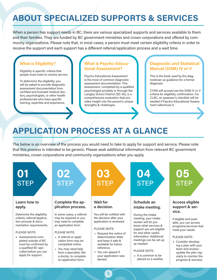## <span id="page-2-0"></span>ABOUT SPECIALIZED SUPPORTS & SERVICES

When a person has support needs in BC, there are various specialized supports and services available to them and their families. They are funded by BC government ministries and crown corporations and offered by community organizations. Please note that, in most cases, a person must meet certain eligibility criteria in order to receive the support and each support has a different referral/application process and a wait time.

## What is Eligibility?

Eligibility is specific criteria that people must meet to receive service.

To determine the eligibility, you will be asked to provide diagnostic assessment documentation from certified and licensed medical doctors, psychologists, or other health professionals who have specific training, expertise and experience.

### What is Psycho-Educational Assessment?

Psycho-Educational Assessment is the most of common diagnostic assessment documentation. This assessment, completed by a qualified psychologist privately or through the Langley School District (SD 35), is a comprehensive evaluation that provides insight into the person's unique strengths & challenges.

## Diagnostic and Statistical Manual (DSM) IV or V

This is the book used by the diagnostician as guidance for a formal diagnosis.

CYSN will accept/use the DSM IV or V criteria for eligibility confirmation. For CLBC, an assessor's checklist will be needed if Psycho-Educational Assessment references it.

## APPLICATION PROCESS AT A GLANCE

The below is an overview of the process you would need to take to apply for support and service. Please note that this process is intended to be generic. Please seek additional information from relevant BC government ministries, crown corporations and community organizations when you apply.



3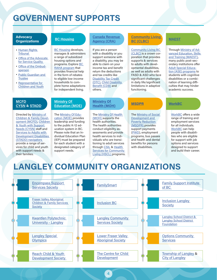## <span id="page-3-0"></span>GOVERNMENT SUPPORTS

#### **Advocacy Organizations**

- [Human Rights](http://www.bchrt.bc.ca/)  **Tribunal**
- [Office of the Advocate](https://www2.gov.bc.ca/gov/content/family-social-supports/services-for-people-with-disabilities/supports-services/advocate-for-service-quality)  [for Service Quality](https://www2.gov.bc.ca/gov/content/family-social-supports/services-for-people-with-disabilities/supports-services/advocate-for-service-quality)
- [Office of the Ombud](https://bcombudsperson.ca/)[sperson](https://bcombudsperson.ca/)
- [Public Guardian and](https://www.trustee.bc.ca/Pages/default.aspx)  **[Trustee](https://www.trustee.bc.ca/Pages/default.aspx)**
- [Representative for](http://www.rcybc.ca/)  [Children and Youth](http://www.rcybc.ca/)

## [BC Housing](https://www.bchousing.org/home)

**[BC Housing](https://www.bchousing.org/home) develops,** manages & administers a range of subsidized housing options and programs. Explore **BC** [RAHA program](https://www.bchousing.org/housing-assistance/BC-RAHA) that provides financial help in the form of rebates to eligible low-income households to complete home adaptations for independent living.

#### [Canada Revenue](https://www.canada.ca/en/revenue-agency.html)  [Agency \(CRA\)](https://www.canada.ca/en/revenue-agency.html)

If you are a person with a disability or you support someone with a disability, you may be able to claim on your income tax and benefit return the deductions and tax credits like [Disability Tax Credit](https://www.canada.ca/en/revenue-agency/services/tax/individuals/segments/tax-credits-deductions-persons-disabilities/disability-tax-credit.html)  [\(DTC\)](https://www.canada.ca/en/revenue-agency/services/tax/individuals/segments/tax-credits-deductions-persons-disabilities/disability-tax-credit.html), [Child Disability](https://www.canada.ca/en/revenue-agency/services/child-family-benefits/child-disability-benefit.html)  [Benefit \(CDB\)](https://www.canada.ca/en/revenue-agency/services/child-family-benefits/child-disability-benefit.html) and others.

#### **Community Living** [BC \(CLBC\)](https://www.communitylivingbc.ca/)

**Community Living BC** [\(CLBC\) i](https://www.communitylivingbc.ca/)s a crown corporation that provides supports & services to adults with developmental disabilities, as well as adults with FASD & ASD who face significant challenges in daily life/significant limitations in adaptive functioning.

## [MAEST](https://www2.gov.bc.ca/gov/content/governments/organizational-structure/ministries-organizations/ministries/advanced-education-skills-training)

Through [Ministry of Ad](https://www2.gov.bc.ca/gov/content/governments/organizational-structure/ministries-organizations/ministries/advanced-education-skills-training)[vanced Education, Skills](https://www2.gov.bc.ca/gov/content/governments/organizational-structure/ministries-organizations/ministries/advanced-education-skills-training)  [and Training \(MAEST\),](https://www2.gov.bc.ca/gov/content/governments/organizational-structure/ministries-organizations/ministries/advanced-education-skills-training) many public post-secondary institutions offer [Adult Special Educa](https://www2.gov.bc.ca/gov/content/education-training/adult-education/adult-special-education)[tion \(ASE\) programs](https://www2.gov.bc.ca/gov/content/education-training/adult-education/adult-special-education) to students with cognitive disabilities or a combination of learning difficulties that may hinder academic success.

#### **[MCFD](https://www2.gov.bc.ca/gov/content/governments/organizational-structure/ministries-organizations/ministries/children-and-family-development)** [CYSN](https://www2.gov.bc.ca/gov/content/health/managing-your-health/child-behaviour-development/support-needs) & [STADD](https://www2.gov.bc.ca/gov/content/family-social-supports/services-for-people-with-disabilities/transition-planning-for-youth-young-adults)

Directed by [Ministry of](https://www2.gov.bc.ca/gov/content/governments/organizational-structure/ministries-organizations/ministries/children-and-family-development)  [Children & Family Devel](https://www2.gov.bc.ca/gov/content/governments/organizational-structure/ministries-organizations/ministries/children-and-family-development)[opment \(MCFD\),](https://www2.gov.bc.ca/gov/content/governments/organizational-structure/ministries-organizations/ministries/children-and-family-development) [Children](https://www2.gov.bc.ca/gov/content/health/managing-your-health/child-behaviour-development/support-needs)  [& Youth with Support](https://www2.gov.bc.ca/gov/content/health/managing-your-health/child-behaviour-development/support-needs)  [Needs \(CYSN\)](https://www2.gov.bc.ca/gov/content/health/managing-your-health/child-behaviour-development/support-needs) staff and [Services to Adults with](https://www2.gov.bc.ca/gov/content/family-social-supports/services-for-people-with-disabilities/transition-planning-for-youth-young-adults)  [Development Disabilities](https://www2.gov.bc.ca/gov/content/family-social-supports/services-for-people-with-disabilities/transition-planning-for-youth-young-adults)  [\(STADD\) navigators](https://www2.gov.bc.ca/gov/content/family-social-supports/services-for-people-with-disabilities/transition-planning-for-youth-young-adults)  provide a range of services for child and youth with support needs & their families.

#### **Ministry Of** [Education \(MOE\)](https://www2.gov.bc.ca/gov/content/governments/organizational-structure/ministries-organizations/ministries/education)

The [Ministry Of Edu](https://www2.gov.bc.ca/gov/content/governments/organizational-structure/ministries-organizations/ministries/education)[cation \(MOE\) p](https://www2.gov.bc.ca/gov/content/governments/organizational-structure/ministries-organizations/ministries/education)rovides leadership and funding to the public K-12 education system in BC. Please note that an Individual Education Plan (IEP) must be prepared for each student with a designated category of support needs.

#### [Ministry Of](https://www2.gov.bc.ca/gov/content/governments/organizational-structure/ministries-organizations/ministries/health)  [Health \(MOH\)](https://www2.gov.bc.ca/gov/content/governments/organizational-structure/ministries-organizations/ministries/health)

The [Ministry Of Health](https://www2.gov.bc.ca/gov/content/governments/organizational-structure/ministries-organizations/ministries/health)  [\(MOH\)](https://www2.gov.bc.ca/gov/content/governments/organizational-structure/ministries-organizations/ministries/health) supports the health authorities. The health authorities conduct eligibility assessments and provide health services to individuals who are transitioning to adult services through [CSIL](https://www2.gov.bc.ca/gov/content/health/accessing-health-care/home-community-care/care-options-and-cost/choice-in-supports-for-independent-living) & Health **Services for Community** [Living \(HSCL\)](https://www.fraserhealth.ca/Service-Directory/Services/home-and-community-care/health-services-for-community-living#.Yf14xPXMLRY) programs.

The [Ministry of Social](https://www2.gov.bc.ca/gov/content/governments/organizational-structure/ministries-organizations/ministries/social-development-poverty-reduction)  [Development and](https://www2.gov.bc.ca/gov/content/governments/organizational-structure/ministries-organizations/ministries/social-development-poverty-reduction)  **Poverty Reduction** [\(MSDPR\) p](https://www2.gov.bc.ca/gov/content/governments/organizational-structure/ministries-organizations/ministries/social-development-poverty-reduction)rovides support payments [\(PWD\)](https://www2.gov.bc.ca/gov/content/family-social-supports/services-for-people-with-disabilities/disability-assistance), employment programs, bus passes and health and dental benefits for persons with disabilities.

### [MSDPR](https://www2.gov.bc.ca/gov/content/governments/organizational-structure/ministries-organizations/ministries/social-development-poverty-reduction) [WorkBC](https://www.workbc.ca/resources-for/people-with-disabilities.aspx)

[WorkBC](https://www.workbc.ca/resources-for/people-with-disabilities.aspx) offers a wide range of training and employment services for all individuals. [WorkBC](https://www.workbc.ca/resources-for/people-with-disabilities.aspx) can help people with disabilities who are eligible for support with job options and services designed to support and build their career.

## LANGLEY COMMUNITY ORGANIZATIONS



4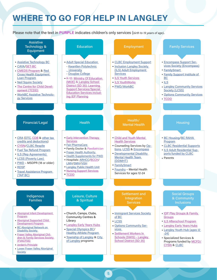## <span id="page-4-0"></span>WHERE TO GO FOR HELP IN LANGLEY

Please note that the text in PURPLE indicates children's only services (birth to 19 years of age).

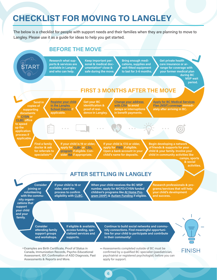## <span id="page-5-0"></span>CHECKLIST FOR MOVING TO LANGLEY

The below is a checklist for people with support needs and their families when they are planning to move to Langley. Please use it as a guide for ideas to help you get started.



6

Examples are Birth Certificate, Proof of Status in Canada, Immunization Records, Psycho-Educational Assessment, IEP, Confirmation of ASD Diagnosis, Past Assessments & Reports and More. Examples are Birth Certificate, Proof of Status in states are Assessments completed outside of BC must be

confirmed by a qualified BC specialist (paediatrician, psychiatrist or registered psychologist) before you can apply for support.

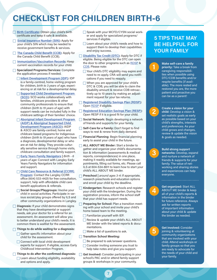## <span id="page-6-0"></span>CHECKLIST FOR CHILDREN BIRTH-6

- **[Birth Certificate:](https://www2.gov.bc.ca/gov/content/life-events/birth-adoption/births/birth-certificates) Obtain your child's birth** certificate and keep it safe & available.
- □ [Social Insurance Number \(SIN\):](https://www.canada.ca/en/employment-social-development/services/sin.html) Apply for your child's SIN which may be needed to receive government benefits & services.
- [The Canada Child Benefit \(CCB\)](https://www.canada.ca/en/revenue-agency/services/child-family-benefits/canada-child-benefit-overview.html): Apply for the Canada Child Benefit (CCB).
- □ [Immunization/Vaccination Records](https://immunizebc.ca/immunization-record-cards): Keep current vaccination records for your child.
- Specialized Programs/Services: Complete the application process if needed.
	- [Infant Development Program \(IDP\)](https://inclusionlangley.com/services-for-children/): IDP is a family-centred, home visiting program for children, birth to 3 years of age, experiencing or at risk for a developmental delay.
	- Supported Child Development Program [\(SCD\)](https://inclusionlangley.com/services-for-children/): SCD works collaboratively with families, childcare providers & other community professionals to ensure that children (birth to 19 years of age) with support needs can be included fully in the childcare settings of their families' choice.
	- Aboriginal Infant Development Program [\(AIDP\) & Aboriginal Supported Child](https://inclusionlangley.com/services-for-children/)  [Development Program \(ASCD\):](https://inclusionlangley.com/services-for-children/) AIDP & ASCD are family-centred, home and childcare based programs for Indigenous a diagnosis, developmental delay or who are at risk for delay. They provide culturally sensitive service through home visits, childcare consultation and family support.
	- [Early Years Family Navigators](https://www.leyc.ca/#/home#top*) | Birth 6 years of age: Connect with Langley Early Years Family Navigators for information and support.
	- Child Care Resource & Referral (CCRR) **[Program](https://www.lcss.ca/programs-and-services/childfamily-services/child-care-resource-referral/):** Contact the Langley CCRR office (604) 533-4425 for free consultation, support, help with affordable child care benefit applications & referrals.
	- Social Groups/Playgroups: Involve your child in social activities. Participate in various social/play groups offered by ILS and other community organizations in Langley.
- $\Box$  Diagnosis: If your child demonstrates signs that they have developmental or support needs, ask your doctor for a referral for an assessment. An assessment will allow you to better understand your child's needs. It is common there is waitlist for the assessment.
- $\Box$  Things to do while waiting for a diagnosis:
	- Gather specific information about your child for the assessment.
	- □ Connect with local child development experts for support. If eligible, access Early Childhood Intervention Program.
- $\Box$  Things to do after the confirmed diagnosis:
	- **Learn about funding eligibility, availability** and options and apply.
- Speak with your MCFD/CYSN social worker and apply for specialized programs/ services if eligible.
- Learn about your child's needs and how to support them to develop their capabilities and enjoy success.
- [Disability Tax Credit \(DTC\)](https://www.canada.ca/en/revenue-agency/services/tax/individuals/segments/tax-credits-deductions-persons-disabilities/disability-tax-credit.html): Apply for DTC if eligible. Being eligible for the DTC can open the door to other programs such as [RDSP](https://www.canada.ca/en/revenue-agency/services/tax/individuals/topics/registered-disability-savings-plan-rdsp.html) & [CDB](https://www.canada.ca/en/revenue-agency/services/child-family-benefits/child-disability-benefit.html). Please note:
	- Your child's DTC eligibility may expire and need to re-apply. CRA will send you notifications if you need to reapply.
	- When you are approved for your child's DTC & CDB, you will be able to claim the disability amount & receive CDB retroactively up to 10 years by making an adjustment request for your tax returns.
- [Registered Disability Savings Plan \(RDSP\):](https://www.canada.ca/en/revenue-agency/services/tax/individuals/topics/registered-disability-savings-plan-rdsp.html) Open [RDSP](https://www.canada.ca/en/revenue-agency/services/tax/individuals/topics/registered-disability-savings-plan-rdsp.html) if eligible.
- [Registered Education Savings Plan \(RESP\):](https://www.canada.ca/en/services/benefits/education/education-savings/resp.html) Open RESP if it is a good fit for your child.
- $\Box$ Social Network: Begin developing a network of friends and supports for your family.
- Self-Care for a Family: Don't forget to find ways to rest & renew from daily demand.
- children (birth to 19 years of age) who have  $\Box$  Financial Planning: Begin financial planning early to assist your child in the future.
	- ALL ABOUT ME Binder: Start a binder to gather and organize your child's documentation & information (assessments & medical reports, correspondences) in one place, making it readily available for meetings, appointments, filling out forms, etc. Please call ILS at 604-534-8611 to learn how to start your child's ALL ABOUT ME binder.
	- Preschool | around ages 3-4: If appropriate, П research preschools and education options and enroll your child by the deadline.
	- Kindergarten: Research schools and register your child with the kindergarten. During the registration process, inform the school staff that your child has support needs.
	- Preparing for School: Plan a transition meet-П ing with your school and invite your child's home based team to the meeting.
		- $\Box$  Familiarize yourself with IEP.
		- Review & update your child's ALL ABOUT ME binder with the latest reports & documentations.
		- $\Box$  Make a list of questions to ask.
	- Transition School Meeting:
		- □ Be prepared to ask/answer questions.
	- Consider inviting someone you trust to help take notes and give you support.
	- Get Involved: Consider participating in your school's PAC and/or attend family support groups & workshops in your community.

7

## 5 TIPS THAT MAY BE HELPFUL FOR YOUR FAMILY

1

2

3

4

5

Make self-care a family priority: Take a break from caregiving responsibilities when possible using DTC/CDB benefits and/or respite benefits (if available). The more rested and restored you are, the more patient and proactive you can be as a parent!

Create a vision for your child: Develop a vision & set realistic goals as early as possible based on your child's strengths, interests and preferences. As your child grows and changes, review & update the vision & goals as needed.

Build strong support networks: Develop, expand and nurture a network of friends & supports for your family. The value of networking and sharing stories and experiences can help everyone.

Get organized: Start ALL ABOUT ME binder & keep all of your child's reports & information in the binder for future reference. Always ask for written reports of important information about your child & update the binder as needed.

Get involved: Consider

joining & volunteering at community organizations that are involved with your child. Attend workshops or family groups so that you are ready to advocate for the needs of your child and your family.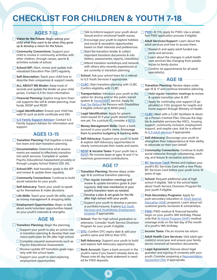## <span id="page-7-0"></span>CHECKLIST FOR CHILDREN & YOUTH 7-18

#### **AGES 7-12** <u>AGES 7-12</u>

- **Vision for the Future:** Begin asking your child what they want to be when they grow up & develop a vision for the future.
- **Community Connections: Support your** child to involve in community activities with other children, through camps, sports & activities outside of school.
- School/IEP: Start, review and update Individualized Education Plan (IEP) regularly.
- Self-Description: Teach your child how to describe their uniqueness & support needs.
- **ALL ABOUT ME Binder:** Keep track of records and update the binder as your child grows. Contact ILS for more information.
- $\Box$  Financial Planning: Explore long term financial supports like will & estate planning, trust funds, RDSP and RESP.
- **Legal Identification:** Ensure your child has valid ID such as birth certificate and SIN.
- **[ILS Family Support Advisor:](https://inclusionlangley.com/support-for-families/) Contact ILS** Family Support Advisor for information and support.

## **MAGES 13-15**

- Transition Planning: Pull together a transition team and start transition planning.
- Documentation: Determine what assessments are needed to effectively transition into adult services. Complete or update Psycho-Educational Assessment privately or through Langley School District (SD 35).
- $\Box$  School/IEP: Add transition goals in the IEP and review & update them regularly.
- **Community Connections:** Continue to build social networks for your youth.
- Self-Advocacy: Teach your youth to speak up for themselves & make decisions.
- □ Life Skills: Teach your youth life skills, such as money management & shopping skills.
- **Employment Opportunities: Begin to talk** about work/volunteer opportunities based on your youth's interests & strengths.

- **Transition Planning:** Begin the planning.
	- Support your youth to play an active role in transition planning & develop their own vision/path/plan for life after high school.
	- Complete required assessments such as Psycho-Educational Assessment.
	- Review/update IEP transition goals regu- **Bank Account:** Open a bank account in the larly with the school team.
	- $\Box$  Support your youth to start exploring employment opportunities.
- Talk to/inform/support your youth about Sexual and/or emotional health issues.
- Encourage your youth to explore hobbies and social & recreation opportunities based on their interests and preferences.
- **□Start the transition binder & collect** important transition documents & info (letters, assessments, reports, checklists).
- Attend transition workshops and network with others who recently experienced or are currently in transition planning.
- School: Ask your school team for a referral to ILS Youth Services if appropriate.
- [CLBC](https://www.communitylivingbc.ca/): Start transition planning with CLBC. Confirm eligibility with CLBC.
- Transportation: Introduce your youth to the option for driving and/or the public transit system & [HandyDART](https://www.translink.ca/rider-guide/transit-accessibility/handydart) service. Apply for [Fuel Tax Refund](https://www2.gov.bc.ca/gov/content/taxes/sales-taxes/motor-fuel-carbon-tax/refund-disabilities) for Persons with Disabilities if eligible (refund up to \$500/year).
- **Legal Identification:** Apply for government-issued ID if your youth doesn't have one yet. For a picture ID, consider a [BCID](https://www.icbc.com/driver-licensing/getting-licensed/Pages/Apply-for-a-BCID.aspx).
- **Money Management Skills: Open a bank** account in your youth's name. Encourage them to practice budgeting & banking skills.
- $\Box$  Self-Advocacy: Support your youth to build & explore Self-Advocacy opportunities to clearly communicate their needs and wants.
- **[RDSP](https://www.canada.ca/en/revenue-agency/services/tax/individuals/topics/registered-disability-savings-plan-rdsp.html) & Income Taxes:** If your youth has a [RDSP,](https://www.canada.ca/en/revenue-agency/services/tax/individuals/topics/registered-disability-savings-plan-rdsp.html) file income taxes at ages 16 and 17 to maximize government contributions.

- **Transition Planning: Review steps under** age 16 & continue transition planning.
	- $\Box$  Plan regular transition meetings and review & update transition goals & plan regularly. Add new member(s) to your youth's transition team as needed.
	- Develop a plan  $&$  set goals for the life after high school with your youth.
	- Support your youth to develop a personal portfolio/resume. Explore ILS Youth [Services and YouthWorks Employment](https://inclusionlangley.com/services-for-youth/)  [program](https://inclusionlangley.com/services-for-youth/) if appropriate.
- AGE 16 **Suppose 16** School: Plan for high school graduation or extension. Consider Youth Service Diversion Program for your youth if eligible.
	- [DTC:](https://www.canada.ca/en/revenue-agency/services/tax/individuals/segments/tax-credits-deductions-persons-disabilities/disability-tax-credit.html) Confirm DTC expiry date & add your youth's name and SIN to their DTC.
	- Self-Advocacy: Support your youth to build and explore Self-Advocacy opportunities.
	- youth's name if you haven't already done so. Please note 60 day bank statement is needed for PWD deposits.
- [PWD:](https://www2.gov.bc.ca/gov/content/family-social-supports/services-for-people-with-disabilities/disability-assistance) At 17.5, apply for PWD. Use a simplified PWD application process if eligible.
- Adult Services/Support: Learn about the adult services and how to access them.
	- $\Box$  Research and apply adult funded supports and services.
	- Learn about the changes in adult health care services like changing from paediatrician to family doctor.
	- Confirm 1st appointments for all adult specialist(s).

AGE 18

- Transition Planning: Review steps under age 16 & 17 and continue transition planning.
	- $\Box$  Hold regular transition meetings to review & update transition plan & IEP.
	- $\Box$  Apply for continuing care support (if applicable) or CSIL program for respite and home support through Ministry of Health.
- [CLBC](https://www.communitylivingbc.ca/): Meet with a CLBC facilitator & develop a Person-Centred Plan. Discuss the eligible & available services like HSCL, housing support, community inclusion, employment support, and respite care. Ask for a referral to [ILS adult services](https://inclusionlangley.com/services-for-adults/) if appropriate.
- Self-Advocacy: Encourage your youth to strengthen their independence & their ability to advocate on their own behalf.
- **Community Connections:** Continue to build social networks through volunteering, working, and leisure & recreation activities.
- AGE 17 [BC Services Card](https://www2.gov.bc.ca/gov/content/governments/government-id/bc-services-card): Renew and replace your youth's BC Services Card with a new Photo BC Services Card before your youth turns 19 years of age.
	- School: Request additional year of high school if eligible. Talk to the school team about Youth Service Diversion Program for your youth if eligible.
	- **Post-Secondary Programs:** Apply for post-secondary education or [Adult Special](https://www2.gov.bc.ca/gov/content/education-training/adult-education/adult-special-education)  [Education \(ASE\)](https://www2.gov.bc.ca/gov/content/education-training/adult-education/adult-special-education) programs. Learn about educational grants, bursaries & scholarships.
	- [PWD:](https://www2.gov.bc.ca/gov/content/family-social-supports/services-for-people-with-disabilities/disability-assistance) PWD medical & financial benefits begin on your youth's 18th birthday. Please note that [At Home Program \(AHP\)](https://www2.gov.bc.ca/gov/content/health/managing-your-health/child-behaviour-development/support-needs/complex-health-needs/at-home-program) medical coverage ends on the last day of the month of a youth's 18th birthday.
	- $\Box$  Income Taxes: File an income tax return.
	- Adult Health Care Services: Visit adult specialist(s) once/year and ensure your family doctor received all transition documents.
	- Legal Agreement: Discuss about legal guardian and signing of consents with your youth. Consider preparing a Representation [Agreement \(RA\)](https://www.nidus.ca/representation-agreement/ra-7-fact-sheet/) if appropriate.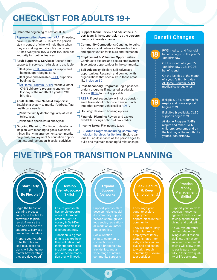## <span id="page-8-0"></span>CHECKLIST FOR ADULTS 19+

 $\Box$  Celebrate beginning of new adult life.

- [Representation Agreement \(RA\):](https://www.nidus.ca/representation-agreement/overview-fact-sheet/) If needed, have RA in place at 19. RA lets the person stay in control of who will help them when they are making important life decisions. RA has two types. RA7 & RA9. RA7 includes authority for routine finances.
- Adult Supports & Services: Access adult supports & services if eligible and available.
	- □ If eligible, [CSIL program](https://www2.gov.bc.ca/gov/content/health/accessing-health-care/home-community-care/care-options-and-cost/choice-in-supports-for-independent-living) for respite and home support begins at 19.
	- $\Box$  If eligible and available, [CLBC](https://www.communitylivingbc.ca/) supports begin at 19.
	- [At Home Program \(AHP\)](https://www2.gov.bc.ca/gov/content/health/managing-your-health/child-behaviour-development/support-needs/complex-health-needs/at-home-program) respite & other CYSN children's programs end on the last day of the month of a youth's 19th birthday.
- Adult Health Care Needs & Supports: Establish a system to monitor/address/flag health care needs.
	- Visit the family doctor regularly, at least twice/year.
	- Visit adult specialist(s) once/year.
- Ongoing Planning: Continue to develop a life plan with meaningful goals. Consider things like living arrangements, community programs, employment & education opportunities, and recreation & social activities.
- $\Box$  Support Team: Review and adjust the support team & the support plan as the person's needs or interests change.
- **Community Connections:** Continue to build, & nurture social networks. Pursue hobbies and opportunities for leisure and recreation.
- **Employment & Volunteer Opportunities:** Continue to explore and secure employment & volunteer opportunities in the community.
- Self-Advocacy: Explore Self-Advocacy opportunities. Research and connect with organizations that specialize in these areas like [Inclusion BC.](https://inclusionbc.org/)
- **Post-Secondary Programs: Begin post-sec**ondary programs if interested or eligible. Access **RESP** funds if applicable.
- **[RESP:](https://www.canada.ca/en/services/benefits/education/education-savings/resp.html)** If post secondary will not be considered, learn about options to transfer funds into other savings vehicles like [RDSP.](https://www.canada.ca/en/revenue-agency/services/tax/individuals/topics/registered-disability-savings-plan-rdsp.html)
- $\Box$  Housing: Research housing options.
- Financial Planning: Review and explore available savings options & tax credits.
- $\Box$  Income Taxes: File income taxes.
- **ILS Adult Programs including Community [Inclusion Services for Seniors](https://inclusionlangley.com/services-for-adults/): Explore var**ious ILS adult services as the person ages to build and maintain meaningful relationships.

## Benefit Changes

18

[PWD](https://www2.gov.bc.ca/gov/content/family-social-supports/services-for-people-with-disabilities/disability-assistance) medical and financial benefits begin on the youth's 18th birthday.

On the month of a youth's 18th birthday, [CCB](https://www.canada.ca/en/revenue-agency/services/child-family-benefits/canada-child-benefit-overview.html) & [CDB](https://www.canada.ca/en/revenue-agency/services/child-family-benefits/child-disability-benefit.html) benefits end.

On the last day of the month of a youth's 18th birthday, [At Home Program \(AHP\)](https://www2.gov.bc.ca/gov/content/health/managing-your-health/child-behaviour-development/support-needs/complex-health-needs/at-home-program) medical coverage ends.

19

If eligible, [CSIL program](https://www2.gov.bc.ca/gov/content/health/accessing-health-care/home-community-care/care-options-and-cost/choice-in-supports-for-independent-living) for respite and home support begins at 19.

If eligible & available, [CLBC](https://www.communitylivingbc.ca/) supports begin at 19.

[At Home Program \(AHP\)](https://www2.gov.bc.ca/gov/content/health/managing-your-health/child-behaviour-development/support-needs/complex-health-needs/at-home-program) respite and other CYSN children's programs end on the last day of the month of a youth's 19th birthday.

## FIVE TIPS FOR TRANSITION PLANNING



9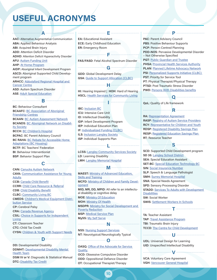## <span id="page-9-0"></span>USEFUL ACRONYMS

AAC: Alternative Augmentative Communication ABA: Applied Behaviour Analysis ABI: Acquired Brain Injury ADD: Attention Deficit Disorder ADHD: Attention Deficit Hyperactivity Disorder AFU: [Autism Funding Unit](https://www2.gov.bc.ca/gov/content/health/managing-your-health/child-behaviour-development/support-needs/autism-spectrum-disorder/autism-funding) AHP: [At Home Program](https://www2.gov.bc.ca/gov/content/health/managing-your-health/child-behaviour-development/support-needs/complex-health-needs/at-home-program) AIDP: Aboriginal Infant Development Program ASCD: Aboriginal Supported Child Development program ARHCC: [Abbotsford Regional Hospital and](https://www.fraserhealth.ca/Service-Directory/Locations/Abbotsford/abbotsford-regional-hospital-and-cancer-centre#.Yk9lfdPMLRY)  [Cancer Centre](https://www.fraserhealth.ca/Service-Directory/Locations/Abbotsford/abbotsford-regional-hospital-and-cancer-centre#.Yk9lfdPMLRY) ASD: Autism Spectrum Disorder

ASE: [Adult Special Education](https://www2.gov.bc.ca/gov/content/education-training/adult-education/adult-special-education)

#### BC: Behaviour Consultant BCAAFC: [BC Association of Aboriginal](https://bcaafc.com/)  [Friendship Centres](https://bcaafc.com/) BCAAN: [BC Autism Assessment Network](http://www.phsa.ca/our-services/programs-services/bc-autism-assessment-network) BCANDS: [BC Aboriginal Network on Disabil](http://www.bcands.bc.ca/)[ity Society](http://www.bcands.bc.ca/) BCCH: [BC Children's Hospital](http://www.bcchildrens.ca/) BCPAC: BC Parent Advisory Council **BC RAHA: BC Rebate for Accessible Home** [Adaptations \(BC Housing\)](https://www.bchousing.org/housing-assistance/BC-RAHA) BCTF: BC Teachers' Federation BI: Behaviour Interventionist BSP: Behavior Support Plan

B

C

CAN: [Canucks Autism Network](https://www.canucksautism.ca/) CAYA: [Communication Assistance for Young](https://cayabc.net)  [Adults](https://cayabc.net) CCB: [Canada Child Benefit](https://www.canada.ca/en/revenue-agency/services/child-family-benefits/canada-child-benefit-overview.html) CCRR: [Child Care Resource & Referral](https://www2.gov.bc.ca/gov/content/family-social-supports/caring-for-young-children/how-to-access-child-care/child-care-resource-referral-centre) CDB: [Child Disability Benefit](https://www.canada.ca/en/revenue-agency/services/child-family-benefits/child-disability-benefit.html) CLBC: [Community Living BC](https://www.communitylivingbc.ca/) CMEDS: [Children's Medical Equipment Distri](https://www.hmebc.com/corporate-programs/cmeds/cmeds-program/)[bution Service](https://www.hmebc.com/corporate-programs/cmeds/cmeds-program/) CP: Cerebral Palsy CRA: [Canada Revenue Agency](https://www.canada.ca/en/revenue-agency.html) CSIL: [Choice in Supports for Independent](https://www2.gov.bc.ca/gov/content/health/accessing-health-care/home-community-care/care-options-and-cost/choice-in-supports-for-independent-living)  **[Living](https://www2.gov.bc.ca/gov/content/health/accessing-health-care/home-community-care/care-options-and-cost/choice-in-supports-for-independent-living)** CT: Classroom Teacher CTC: Child Tax Credit

CYSN: [Children & Youth with Support Needs](https://www2.gov.bc.ca/gov/content/health/managing-your-health/child-behaviour-development/support-needs) D

DD: Developmental Disability DDMHT: [Developmental Disability Mental](https://www.fraserhealth.ca/health-topics-a-to-z/developmental-disabilities-mental-health-services#.Yk9oHy8r1ZJ)  [Health Team](https://www.fraserhealth.ca/health-topics-a-to-z/developmental-disabilities-mental-health-services#.Yk9oHy8r1ZJ) DSM IV or V: Diagnostic & Statistical Manual DTC: [Disability Tax Credit](https://www.canada.ca/en/revenue-agency/services/tax/individuals/segments/tax-credits-deductions-persons-disabilities/disability-tax-credit.html)

EA: Educational Assistant ECE: Early Childhood Education ER: Emergency Room

F FAS/FASD: Fetal Alcohol Spectrum Disorder

G

A E P

GDD: Global Development Delay GSA: [Guide to Support Allocation \(CLBC\)](https://www.communitylivingbc.ca/how-do-i-get-support/understand-clbc-assessment-tools/)

HI: Hearing Impaired | HOH: Hard of Hearing **HSCL: [Health Services for Community Living](https://www.fraserhealth.ca/Service-Directory/Services/home-and-community-care/health-services-for-community-living#.Yk9rXdPMLRY)** 

I

H

IBC: [Inclusion BC](https://inclusionbc.org/) ICU: Intensive Care Unit ID: Intellectual Disability IDP: Infant Development Program IEP: Individual Education Plan IF: [Individualized Funding \(CLBC\)](https://www.communitylivingbc.ca/how-do-i-get-support/individualized-funding-option/) **ILS: [Inclusion Langley Society](https://inclusionlangley.com/)** ISP: Individual Supports Plan

L **LCSS: [Langley Community Services Society](https://www.lcss.ca/)** LD: Learning Disability LMH: [Langley Memorial Hospital](https://www.fraserhealth.ca/Service-Directory/Locations/Langley/langley-memorial-hospital#.Yk9o9dPMLRY)

M

**MAEST: Ministry of Advanced Education,** [Skills and Training](https://www2.gov.bc.ca/gov/content/governments/organizational-structure/ministries-organizations/ministries/advanced-education-skills-training) **MCFD: [Ministry of Children and Family Devel](https://www2.gov.bc.ca/gov/content/governments/organizational-structure/ministries-organizations/ministries/children-and-family-development)**[opment](https://www2.gov.bc.ca/gov/content/governments/organizational-structure/ministries-organizations/ministries/children-and-family-development) MID, MR, DD, MPID: All refer to an intellectual disability or cognitive delay MOE: [Ministry Of Education](https://www2.gov.bc.ca/gov/content/governments/organizational-structure/ministries-organizations/ministries/education) MOH: [Ministry Of Health](https://www2.gov.bc.ca/gov/content/governments/organizational-structure/ministries-organizations/ministries/health) **MSDPR: Ministry for Social Development and** [Poverty Reduction](https://www2.gov.bc.ca/gov/content/governments/organizational-structure/ministries-organizations/ministries/social-development-poverty-reduction) MSP: [Medical Service Plan](https://www2.gov.bc.ca/gov/content/health/health-drug-coverage/msp) MySS: [My Self Serve](https://myselfserve.gov.bc.ca/) N

**NSS: [Nursing Support Services](http://www.bcchildrens.ca/our-services/sunny-hill-health-centre/our-services/nursing-support)** NT: Neurotypical/Neurologically Typical O

OASQ: [Office of the Advocate for Service](https://www2.gov.bc.ca/gov/content/family-social-supports/services-for-people-with-disabilities/supports-services/advocate-for-service-quality)  **Quality** 

OCD: Obsessive Compulsive Disorder ODD: Oppositional Defiance Disorder OT: Occupational Therapist/Therapy

PAC: Parent Advisory Council PBS: Positive Behaviour Supports PCP: Person-Centred Planning PDD-NOS: Pervasive Developmental Disorder – Not Otherwise Specified PGT: [Public Guardian and Trustee](https://www.trustee.bc.ca/Pages/default.aspx) PHSA: [Provincial Health Services Authority](http://www.phsa.ca/) PLAN: [Planned Lifetime Advocacy Network](https://plan.ca/) PSI: [Personalized Supports Initiative \(CLBC\)](https://www.communitylivingbc.ca/who-does-clbc-support/eligible-clbc-support/)  PST: Priority for Service Tool PT: Physical Therapist/Physical Therapy PTSD: Post Traumatic Stress Disorder PWD: [Persons With Disabilities benefits](https://www2.gov.bc.ca/gov/content/family-social-supports/services-for-people-with-disabilities/disability-assistance)

Q

R

QoL: Quality of Life framework

RA: [Representation Agreement](https://www.nidus.ca/representation-agreement/overview-fact-sheet/) RASP: [Registry of Autism Service Providers](https://www2.gov.bc.ca/gov/content/health/managing-your-health/child-behaviour-development/support-needs/autism-spectrum-disorder/build-your-support-team/registry-autism-service-providers) RCY: [Representative for Children and Youth](https://rcybc.ca) RDSP: [Registered Disability Savings Plan](https://www.canada.ca/en/revenue-agency/services/tax/individuals/topics/registered-disability-savings-plan-rdsp.html) RESP: [Registered Education Savings Plan](https://www.canada.ca/en/services/benefits/education/education-savings/resp.html)  RT: Resource Teacher

S

SCD: Supported Child Development program SD 35: [Langley School District](https://www.sd35.bc.ca) SEA: Special Education Assistant SET-BC: [Special Education Technology BC](https://www.setbc.org) SIN: [Social Insurance Number](https://www.canada.ca/en/employment-social-development/services/sin.html) SLP: Speech & Language Pathologist SMH: [Surrey Memorial Hospital](https://www.fraserhealth.ca/Service-Directory/Locations/Surrey/surrey-memorial-hospital#.Yk9qey8r1ZJ) SNA: Special Needs Agreement SPD: Sensory Processing Disorder STADD: [Services To Adults with Development](https://www2.gov.bc.ca/gov/content/family-social-supports/services-for-people-with-disabilities/transition-planning-for-youth-young-adults)  **[Disabilities](https://www2.gov.bc.ca/gov/content/family-social-supports/services-for-people-with-disabilities/transition-planning-for-youth-young-adults)** SW: Social Worker

T

U

V

SWIS: [Settlement Workers In Schools](https://www.sd35.bc.ca/programs-initiatives/settlement-workers-in-schools-swis/)

TA: Teacher Assistant TAP: [Travel Assistance Program](https://www2.gov.bc.ca/gov/content/health/accessing-health-care/tap-bc/travel-assistance-program-tap-bc) TBI: Traumatic Brain Injury TCCD: [The Centre for Child Development](https://the-centre.org)

UDL: Universal Design for Learning UID: Unspecified Intellectual Disability

VCA: Voluntary Care Agreement VGH: [Vancouver General Hospital](http://www.vch.ca//Locations-Services/result?res_id=644)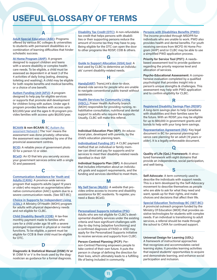## <span id="page-10-0"></span>USEFUL GLOSSARY OF TERMS

**[Adult Special Education \(ASE\):](https://www2.gov.bc.ca/gov/content/education-training/adult-education/adult-special-education) Programs** offered by various BC colleges & universities to students with permanent disabilities or a combination of learning difficulties that hinder scholastic success.

A

[At Home Program \(AHP\)](https://www2.gov.bc.ca/gov/content/health/managing-your-health/child-behaviour-development/support-needs/complex-health-needs/at-home-program): A program designed to support children and teens with a severe disability or complex health care needs. To be eligible, a child must be assessed as dependent in at least 3 of the 4 activities of daily living (eating, dressing, toileting and washing). A child may be eligible for both respite benefits and medical benefits, or a choice of one benefit.

**[Autism Funding Unit \(AFU\):](https://www2.gov.bc.ca/gov/content/health/managing-your-health/child-behaviour-development/support-needs/autism-spectrum-disorder/autism-funding) A program** designed to help pay for eligible services or supports that promote skill development for children living with autism. Under age 6 program provides families with access upto \$22,000/year and the ages 6-18 program provides families with access upto \$6,000/year.

#### **[BCAAN](http://www.phsa.ca/our-services/programs-services/bc-autism-assessment-network) & non-BCAAN: B[C Autism As-](http://www.phsa.ca/our-services/programs-services/bc-autism-assessment-network)**

[sessment Network](http://www.phsa.ca/our-services/programs-services/bc-autism-assessment-network) | The 'non' means the assessment was done privately; otherwise, the assessment was completed by one of the provincial assessment centres.

B

**[BCID:](https://www.icbc.com/driver-licensing/getting-licensed/Pages/Apply-for-a-BCID.aspx)** A reliable piece of government photo ID for a person 12 or older.

**[BCeID](https://www.bceid.ca/):** An ID that lets you securely access your government services online with a single ID and password.

C

[Communication Assistance for Youth and](https://cayabc.net/)  [Adults \(CAYA\):](https://cayabc.net/) A province-wide service program that supports adults (aged 19 years or older) who require an augmentative/alternative communication (AAC) system due to a severe communication needs. (See SET-BC)

[Choice in Supports for Independent Living](https://www2.gov.bc.ca/gov/content/health/accessing-health-care/home-community-care/care-options-and-cost/choice-in-supports-for-independent-living)  [\(CSIL\)](https://www2.gov.bc.ca/gov/content/health/accessing-health-care/home-community-care/care-options-and-cost/choice-in-supports-for-independent-living): A Ministry Of Health (MOH) program for adults with physical dependency needs and not eligible for CLBC.

[Child Disability Benefit \(CDB\)](https://www.canada.ca/en/revenue-agency/services/child-family-benefits/child-disability-benefit.html): A tax-free monthly payment made to families who care for a child under age 18 with a severe prolonged impairment in physical or mental functions. To be eligible, a parent must be eligible for CCB & their child must be eligible for DTC.

Diagnostic & Statistical Manual (DSM) IV or V: DSM IV or V is the book used by the diagnostician as guidance for a formal diagnosis.

D

[Disability Tax Credit \(DTC\):](https://www.canada.ca/en/revenue-agency/services/tax/individuals/segments/tax-credits-deductions-persons-disabilities/disability-tax-credit.html) A non-refundable tax credit that helps persons with disabilities or their supporting persons reduce the amount of income tax they may have to pay. Being eligible for the DTC can open the door to other programs like RDSP, CDB & others.

[Guide to Support Allocation \(GSA\) tool](https://www.communitylivingbc.ca/how-do-i-get-support/understand-clbc-assessment-tools/): A tool used by CLBC to determine an individuals' current disability-related needs.

G

[HandyDART](https://www.translink.ca/rider-guide/transit-accessibility/handydart): TransLink's door-to-door, shared-ride service for people who are unable to navigate conventional public transit without assistance.

H

#### [Health Services for Community Living](https://www.fraserhealth.ca/Service-Directory/Services/home-and-community-care/health-services-for-community-living#.Yf14xPXMLRY)

[\(HSCL\):](https://www.fraserhealth.ca/Service-Directory/Services/home-and-community-care/health-services-for-community-living#.Yf14xPXMLRY) Fraser Health Authority branch (MOH) responsible for providing nursing, rehabilitative consultation, nutritional and dental support to adults who require the supports. Usually, CLBC will make this referral.

Individual Education Plan (IEP): An educational plan, developed with parents, by the child's education planning team.

I

[Individualized Funding \(IF\)](https://www.communitylivingbc.ca/how-do-i-get-support/individualized-funding-option/): A CLBC payment method that an individual or family member can direct and pay for supports and/or services to meet their disability-related needs identified in their ISP.

Individual Supports Plan (ISP): A document that includes information about an individual's goals and support requirements, and the funding and services identified to meet them.

M

[My Self Serve \(MySS\)](https://myselfserve.gov.bc.ca/): A website that provides online access to income and disability assistance for BC residents. To register, you need a Basic BCeID.

P

[Personalized Supports Initiative \(PSI\)](https://www.communitylivingbc.ca/wp-content/uploads/Personalized-Supports-Initiative-PSI-Brochure.pdf): Adults who are not eligible for CLBC's developmental disability services under the existing criteria and have significant challenges with day-to-day living (adaptive functioning) and a confirmed diagnosis of FASD or ASD may apply for the Personalized Supports Initiative to receive services and supports from CLBC.

Person-Centred Planning (PCP): Person-Centred Planning empowers people to take control of their own future. It puts the person in charge of defining the direction for their lives, which ultimately leads to a fulfilling life of being included in community.

#### [Persons with Disabilities Benefits \(PWD\)](https://www2.gov.bc.ca/gov/content/family-social-supports/services-for-people-with-disabilities/disability-assistance):

The income provided through MSDPR for individuals who are unable to work. PWD also provides health and dental benefits. For youth receiving services from MCFD At Home Program (AHP) and/or CLBC may be able to use a simplified PWD application process.

Priority for Service Tool (PST): A needsbased assessment tool to provide guidance regarding the priority response level and allocation of services.

Psycho-Educational Assessment: A comprehensive evaluation completed by a qualified psychologist that provides insight into a person's unique strengths & challenges. This assessment may help with PWD application and to confirm eligibility for CLBC.

### R [Registered Disability Savings Plan \(RDSP\):](https://www.canada.ca/en/revenue-agency/services/tax/individuals/topics/registered-disability-savings-plan-rdsp.html)

A long-term savings plan to help Canadians with disabilities and their families save for the future. With an RDSP, you may be eligible for up to \$90,000 in government grants and bonds to help with your long-term savings.

[Representation Agreement \(RA\):](https://www.nidus.ca/representation-agreement/overview-fact-sheet/) Key legal document in BC for personal planning/advance care planning for an adult (19 years or older). It is a legally enforceable document.

Quality of Life (QoL) Framework: A structured framework with eight domains that provide an independence, social participation, and well-being.

S

Q

Self-Advocate: A term commonly used to describe the individuals with support needs. This is a term developed by the Self-Advocacy movement to describe themselves as people who are able to ask for what they need and want, speak-up for their rights, and make choices and decisions that affect their life.

[Special Education Technology BC \(SET-BC\):](https://www.setbc.org/) A provincial outreach program funded by the Ministry Of Education (MOE) that provides assistive technologies for students with complex needs. If an individual is transitioning to adult services, a referral should be made through the school to CAYA for continued support.

Universal Design for Learning (UDL): A framework of instructional approaches that recognizes and accommodates varied learning styles. It provides learning activities that expand students' opportunities to acquire and demonstrate learning, and enhance social participation and inclusion.

U